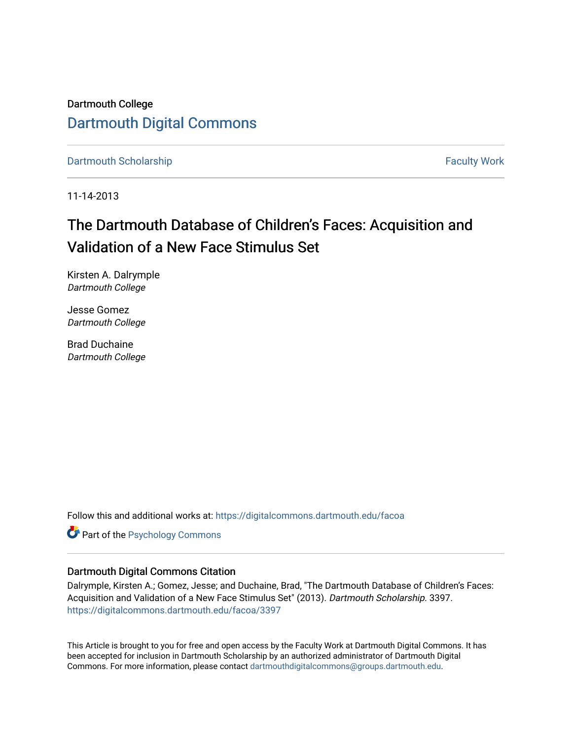Dartmouth College [Dartmouth Digital Commons](https://digitalcommons.dartmouth.edu/) 

[Dartmouth Scholarship](https://digitalcommons.dartmouth.edu/facoa) Faculty Work

11-14-2013

# The Dartmouth Database of Children's Faces: Acquisition and Validation of a New Face Stimulus Set

Kirsten A. Dalrymple Dartmouth College

Jesse Gomez Dartmouth College

Brad Duchaine Dartmouth College

Follow this and additional works at: [https://digitalcommons.dartmouth.edu/facoa](https://digitalcommons.dartmouth.edu/facoa?utm_source=digitalcommons.dartmouth.edu%2Ffacoa%2F3397&utm_medium=PDF&utm_campaign=PDFCoverPages)

**Part of the Psychology Commons** 

# Dartmouth Digital Commons Citation

Dalrymple, Kirsten A.; Gomez, Jesse; and Duchaine, Brad, "The Dartmouth Database of Children's Faces: Acquisition and Validation of a New Face Stimulus Set" (2013). Dartmouth Scholarship. 3397. [https://digitalcommons.dartmouth.edu/facoa/3397](https://digitalcommons.dartmouth.edu/facoa/3397?utm_source=digitalcommons.dartmouth.edu%2Ffacoa%2F3397&utm_medium=PDF&utm_campaign=PDFCoverPages) 

This Article is brought to you for free and open access by the Faculty Work at Dartmouth Digital Commons. It has been accepted for inclusion in Dartmouth Scholarship by an authorized administrator of Dartmouth Digital Commons. For more information, please contact [dartmouthdigitalcommons@groups.dartmouth.edu](mailto:dartmouthdigitalcommons@groups.dartmouth.edu).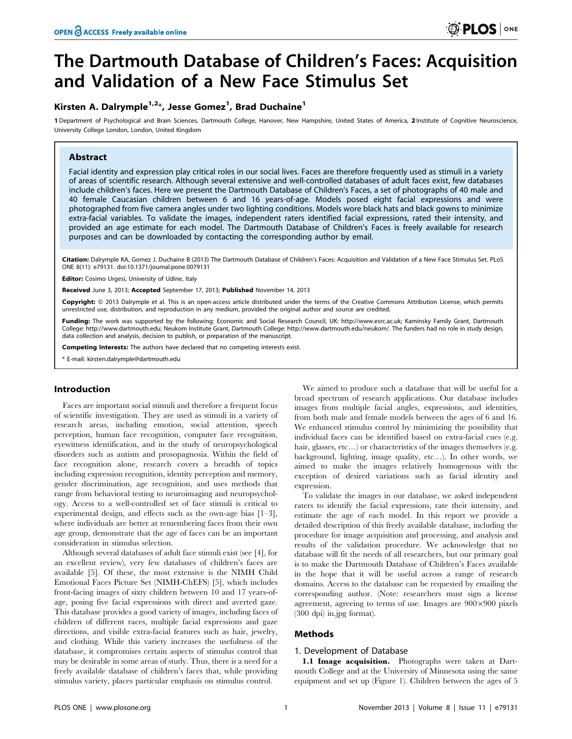# The Dartmouth Database of Children's Faces: Acquisition and Validation of a New Face Stimulus Set

# Kirsten A. Dalrymple $^{1,2}$ \*, Jesse Gomez $^1$ , Brad Duchaine $^1$

1 Department of Psychological and Brain Sciences, Dartmouth College, Hanover, New Hampshire, United States of America, 2 Institute of Cognitive Neuroscience, University College London, London, United Kingdom

# Abstract

Facial identity and expression play critical roles in our social lives. Faces are therefore frequently used as stimuli in a variety of areas of scientific research. Although several extensive and well-controlled databases of adult faces exist, few databases include children's faces. Here we present the Dartmouth Database of Children's Faces, a set of photographs of 40 male and 40 female Caucasian children between 6 and 16 years-of-age. Models posed eight facial expressions and were photographed from five camera angles under two lighting conditions. Models wore black hats and black gowns to minimize extra-facial variables. To validate the images, independent raters identified facial expressions, rated their intensity, and provided an age estimate for each model. The Dartmouth Database of Children's Faces is freely available for research purposes and can be downloaded by contacting the corresponding author by email.

Citation: Dalrymple KA, Gomez J, Duchaine B (2013) The Dartmouth Database of Children's Faces: Acquisition and Validation of a New Face Stimulus Set. PLoS ONE 8(11): e79131. doi:10.1371/journal.pone.0079131

**Editor:** Cosimo Urgesi, University of Udine, Italy

Received June 3, 2013; Accepted September 17, 2013; Published November 14, 2013

Copyright: @ 2013 Dalrymple et al. This is an open-access article distributed under the terms of the Creative Commons Attribution License, which permits unrestricted use, distribution, and reproduction in any medium, provided the original author and source are credited.

Funding: The work was supported by the following: Economic and Social Research Council, UK: http://www.esrc.ac.uk: Kaminsky Family Grant, Dartmouth College: http://www.dartmouth.edu; Neukom Institute Grant, Dartmouth College: http://www.dartmouth.edu/˜neukom/. The funders had no role in study design, data collection and analysis, decision to publish, or preparation of the manuscript.

Competing Interests: The authors have declared that no competing interests exist.

\* E-mail: kirsten.dalrymple@dartmouth.edu

## Introduction

Faces are important social stimuli and therefore a frequent focus of scientific investigation. They are used as stimuli in a variety of research areas, including emotion, social attention, speech perception, human face recognition, computer face recognition, eyewitness identification, and in the study of neuropsychological disorders such as autism and prosopagnosia. Within the field of face recognition alone, research covers a breadth of topics including expression recognition, identity perception and memory, gender discrimination, age recognition, and uses methods that range from behavioral testing to neuroimaging and neuropsychology. Access to a well-controlled set of face stimuli is critical to experimental design, and effects such as the own-age bias [1–3], where individuals are better at remembering faces from their own age group, demonstrate that the age of faces can be an important consideration in stimulus selection.

Although several databases of adult face stimuli exist (see [4], for an excellent review), very few databases of children's faces are available [5]. Of these, the most extensive is the NIMH Child Emotional Faces Picture Set (NIMH-ChEFS) [5], which includes front-facing images of sixty children between 10 and 17 years-ofage, posing five facial expressions with direct and averted gaze. This database provides a good variety of images, including faces of children of different races, multiple facial expressions and gaze directions, and visible extra-facial features such as hair, jewelry, and clothing. While this variety increases the usefulness of the database, it compromises certain aspects of stimulus control that may be desirable in some areas of study. Thus, there is a need for a freely available database of children's faces that, while providing stimulus variety, places particular emphasis on stimulus control.

We aimed to produce such a database that will be useful for a broad spectrum of research applications. Our database includes images from multiple facial angles, expressions, and identities, from both male and female models between the ages of 6 and 16. We enhanced stimulus control by minimizing the possibility that individual faces can be identified based on extra-facial cues (e.g. hair, glasses, etc...) or characteristics of the images themselves (e.g. background, lighting, image quality, etc…). In other words, we aimed to make the images relatively homogenous with the exception of desired variations such as facial identity and expression.

To validate the images in our database, we asked independent raters to identify the facial expressions, rate their intensity, and estimate the age of each model. In this report we provide a detailed description of this freely available database, including the procedure for image acquisition and processing, and analysis and results of the validation procedure. We acknowledge that no database will fit the needs of all researchers, but our primary goal is to make the Dartmouth Database of Children's Faces available in the hope that it will be useful across a range of research domains. Access to the database can be requested by emailing the corresponding author. (Note: researchers must sign a license agreement, agreeing to terms of use. Images are  $900 \times 900$  pixels (300 dpi) in.jpg format).

### Methods

## 1. Development of Database

1.1 Image acquisition. Photographs were taken at Dartmouth College and at the University of Minnesota using the same equipment and set up (Figure 1). Children between the ages of 5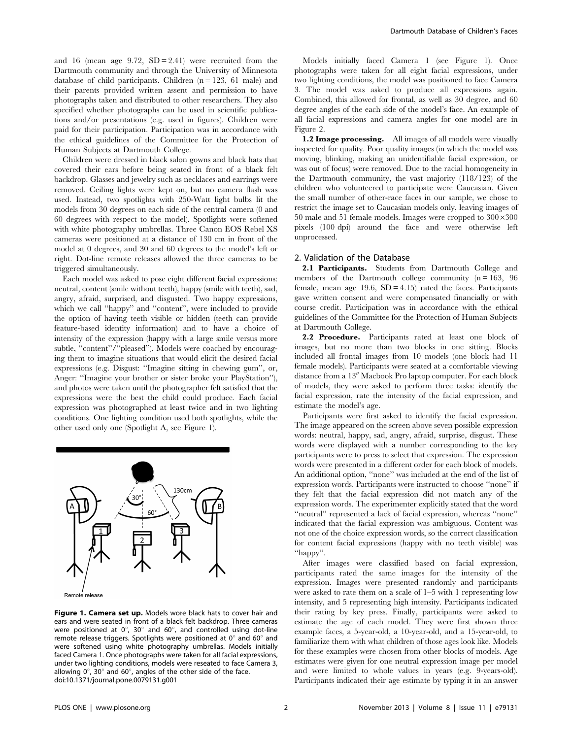and 16 (mean age 9.72,  $SD = 2.41$ ) were recruited from the Dartmouth community and through the University of Minnesota database of child participants. Children  $(n = 123, 61$  male) and their parents provided written assent and permission to have photographs taken and distributed to other researchers. They also specified whether photographs can be used in scientific publications and/or presentations (e.g. used in figures). Children were paid for their participation. Participation was in accordance with the ethical guidelines of the Committee for the Protection of Human Subjects at Dartmouth College.

Children were dressed in black salon gowns and black hats that covered their ears before being seated in front of a black felt backdrop. Glasses and jewelry such as necklaces and earrings were removed. Ceiling lights were kept on, but no camera flash was used. Instead, two spotlights with 250-Watt light bulbs lit the models from 30 degrees on each side of the central camera (0 and 60 degrees with respect to the model). Spotlights were softened with white photography umbrellas. Three Canon EOS Rebel XS cameras were positioned at a distance of 130 cm in front of the model at 0 degrees, and 30 and 60 degrees to the model's left or right. Dot-line remote releases allowed the three cameras to be triggered simultaneously.

Each model was asked to pose eight different facial expressions: neutral, content (smile without teeth), happy (smile with teeth), sad, angry, afraid, surprised, and disgusted. Two happy expressions, which we call "happy" and "content", were included to provide the option of having teeth visible or hidden (teeth can provide feature-based identity information) and to have a choice of intensity of the expression (happy with a large smile versus more subtle, "content"/"pleased"). Models were coached by encouraging them to imagine situations that would elicit the desired facial expressions (e.g. Disgust: ''Imagine sitting in chewing gum'', or, Anger: ''Imagine your brother or sister broke your PlayStation''), and photos were taken until the photographer felt satisfied that the expressions were the best the child could produce. Each facial expression was photographed at least twice and in two lighting conditions. One lighting condition used both spotlights, while the other used only one (Spotlight A, see Figure 1).



Figure 1. Camera set up. Models wore black hats to cover hair and ears and were seated in front of a black felt backdrop. Three cameras were positioned at  $0^{\circ}$ , 30° and 60°, and controlled using dot-line remote release triggers. Spotlights were positioned at  $0^{\circ}$  and  $60^{\circ}$  and were softened using white photography umbrellas. Models initially faced Camera 1. Once photographs were taken for all facial expressions, under two lighting conditions, models were reseated to face Camera 3, allowing  $0^\circ$ , 30 $^\circ$  and 60 $^\circ$ , angles of the other side of the face. doi:10.1371/journal.pone.0079131.g001

Models initially faced Camera 1 (see Figure 1). Once photographs were taken for all eight facial expressions, under two lighting conditions, the model was positioned to face Camera 3. The model was asked to produce all expressions again. Combined, this allowed for frontal, as well as 30 degree, and 60 degree angles of the each side of the model's face. An example of all facial expressions and camera angles for one model are in Figure 2.

1.2 Image processing. All images of all models were visually inspected for quality. Poor quality images (in which the model was moving, blinking, making an unidentifiable facial expression, or was out of focus) were removed. Due to the racial homogeneity in the Dartmouth community, the vast majority (118/123) of the children who volunteered to participate were Caucasian. Given the small number of other-race faces in our sample, we chose to restrict the image set to Caucasian models only, leaving images of 50 male and 51 female models. Images were cropped to  $300\times300$ pixels (100 dpi) around the face and were otherwise left unprocessed.

#### 2. Validation of the Database

2.1 Participants. Students from Dartmouth College and members of the Dartmouth college community  $(n = 163, 96)$ female, mean age  $19.6$ ,  $SD = 4.15$  rated the faces. Participants gave written consent and were compensated financially or with course credit. Participation was in accordance with the ethical guidelines of the Committee for the Protection of Human Subjects at Dartmouth College.

2.2 Procedure. Participants rated at least one block of images, but no more than two blocks in one sitting. Blocks included all frontal images from 10 models (one block had 11 female models). Participants were seated at a comfortable viewing distance from a 13" Macbook Pro laptop computer. For each block of models, they were asked to perform three tasks: identify the facial expression, rate the intensity of the facial expression, and estimate the model's age.

Participants were first asked to identify the facial expression. The image appeared on the screen above seven possible expression words: neutral, happy, sad, angry, afraid, surprise, disgust. These words were displayed with a number corresponding to the key participants were to press to select that expression. The expression words were presented in a different order for each block of models. An additional option, ''none'' was included at the end of the list of expression words. Participants were instructed to choose ''none'' if they felt that the facial expression did not match any of the expression words. The experimenter explicitly stated that the word ''neutral'' represented a lack of facial expression, whereas ''none'' indicated that the facial expression was ambiguous. Content was not one of the choice expression words, so the correct classification for content facial expressions (happy with no teeth visible) was ''happy''.

After images were classified based on facial expression, participants rated the same images for the intensity of the expression. Images were presented randomly and participants were asked to rate them on a scale of 1–5 with 1 representing low intensity, and 5 representing high intensity. Participants indicated their rating by key press. Finally, participants were asked to estimate the age of each model. They were first shown three example faces, a 5-year-old, a 10-year-old, and a 15-year-old, to familiarize them with what children of those ages look like. Models for these examples were chosen from other blocks of models. Age estimates were given for one neutral expression image per model and were limited to whole values in years (e.g. 9-years-old). Participants indicated their age estimate by typing it in an answer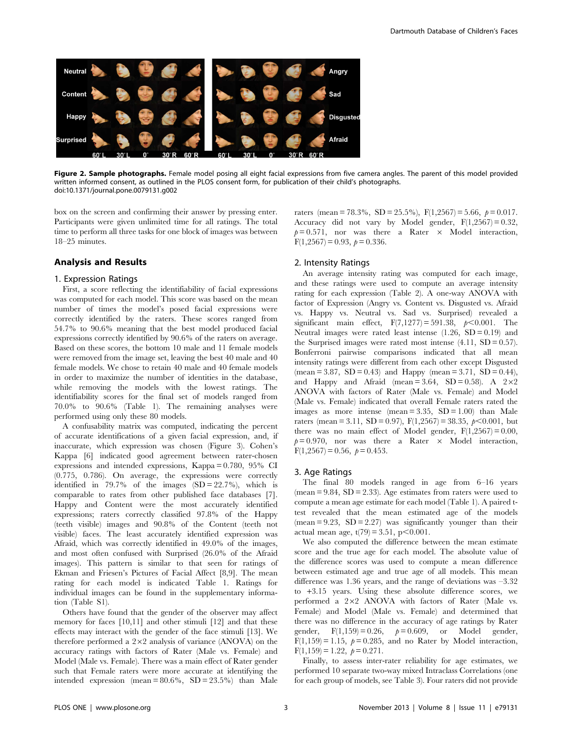

Figure 2. Sample photographs. Female model posing all eight facial expressions from five camera angles. The parent of this model provided written informed consent, as outlined in the PLOS consent form, for publication of their child's photographs. doi:10.1371/journal.pone.0079131.g002

box on the screen and confirming their answer by pressing enter. Participants were given unlimited time for all ratings. The total time to perform all three tasks for one block of images was between 18–25 minutes.

### Analysis and Results

#### 1. Expression Ratings

First, a score reflecting the identifiability of facial expressions was computed for each model. This score was based on the mean number of times the model's posed facial expressions were correctly identified by the raters. These scores ranged from 54.7% to 90.6% meaning that the best model produced facial expressions correctly identified by 90.6% of the raters on average. Based on these scores, the bottom 10 male and 11 female models were removed from the image set, leaving the best 40 male and 40 female models. We chose to retain 40 male and 40 female models in order to maximize the number of identities in the database, while removing the models with the lowest ratings. The identifiability scores for the final set of models ranged from 70.0% to 90.6% (Table 1). The remaining analyses were performed using only these 80 models.

A confusability matrix was computed, indicating the percent of accurate identifications of a given facial expression, and, if inaccurate, which expression was chosen (Figure 3). Cohen's Kappa [6] indicated good agreement between rater-chosen expressions and intended expressions, Kappa = 0.780, 95% CI (0.775, 0.786). On average, the expressions were correctly identified in 79.7% of the images  $(SD = 22.7\%)$ , which is comparable to rates from other published face databases [7]. Happy and Content were the most accurately identified expressions; raters correctly classified 97.8% of the Happy (teeth visible) images and 90.8% of the Content (teeth not visible) faces. The least accurately identified expression was Afraid, which was correctly identified in 49.0% of the images, and most often confused with Surprised (26.0% of the Afraid images). This pattern is similar to that seen for ratings of Ekman and Friesen's Pictures of Facial Affect [8,9]. The mean rating for each model is indicated Table 1. Ratings for individual images can be found in the supplementary information (Table S1).

Others have found that the gender of the observer may affect memory for faces [10,11] and other stimuli [12] and that these effects may interact with the gender of the face stimuli [13]. We therefore performed a  $2\times2$  analysis of variance (ANOVA) on the accuracy ratings with factors of Rater (Male vs. Female) and Model (Male vs. Female). There was a main effect of Rater gender such that Female raters were more accurate at identifying the intended expression (mean =  $80.6\%$ , SD =  $23.5\%$ ) than Male

raters (mean = 78.3%, SD = 25.5%), F(1,2567) = 5.66,  $p = 0.017$ . Accuracy did not vary by Model gender,  $F(1,2567) = 0.32$ ,  $p= 0.571$ , nor was there a Rater  $\times$  Model interaction,  $F(1,2567) = 0.93$ ,  $p = 0.336$ .

#### 2. Intensity Ratings

An average intensity rating was computed for each image, and these ratings were used to compute an average intensity rating for each expression (Table 2). A one-way ANOVA with factor of Expression (Angry vs. Content vs. Disgusted vs. Afraid vs. Happy vs. Neutral vs. Sad vs. Surprised) revealed a significant main effect,  $F(7,1277) = 591.38$ ,  $p < 0.001$ . The Neutral images were rated least intense  $(1.26, SD = 0.19)$  and the Surprised images were rated most intense  $(4.11, SD = 0.57)$ . Bonferroni pairwise comparisons indicated that all mean intensity ratings were different from each other except Disgusted  $(\text{mean} = 3.87, SD = 0.43)$  and Happy  $(\text{mean} = 3.71, SD = 0.44)$ , and Happy and Afraid (mean =  $3.64$ , SD = 0.58). A  $2 \times 2$ ANOVA with factors of Rater (Male vs. Female) and Model (Male vs. Female) indicated that overall Female raters rated the images as more intense (mean =  $3.35$ , SD =  $1.00$ ) than Male raters (mean = 3.11, SD = 0.97),  $F(1,2567) = 38.35, p < 0.001$ , but there was no main effect of Model gender,  $F(1,2567) = 0.00$ ,  $p= 0.970$ , nor was there a Rater  $\times$  Model interaction,  $F(1,2567) = 0.56, p = 0.453.$ 

#### 3. Age Ratings

The final 80 models ranged in age from 6–16 years  $(mean = 9.84, SD = 2.33)$ . Age estimates from raters were used to compute a mean age estimate for each model (Table 1). A paired ttest revealed that the mean estimated age of the models  $(mean = 9.23, SD = 2.27)$  was significantly younger than their actual mean age,  $t(79) = 3.51$ ,  $p < 0.001$ .

We also computed the difference between the mean estimate score and the true age for each model. The absolute value of the difference scores was used to compute a mean difference between estimated age and true age of all models. This mean difference was 1.36 years, and the range of deviations was –3.32 to *+*3.15 years. Using these absolute difference scores, we performed a  $2\times2$  ANOVA with factors of Rater (Male vs. Female) and Model (Male vs. Female) and determined that there was no difference in the accuracy of age ratings by Rater gender,  $F(1,159) = 0.26$ ,  $p = 0.609$ , or Model gender,  $F(1,159) = 1.15$ ,  $p = 0.285$ , and no Rater by Model interaction,  $F(1,159) = 1.22, p = 0.271.$ 

Finally, to assess inter-rater reliability for age estimates, we performed 10 separate two-way mixed Intraclass Correlations (one for each group of models, see Table 3). Four raters did not provide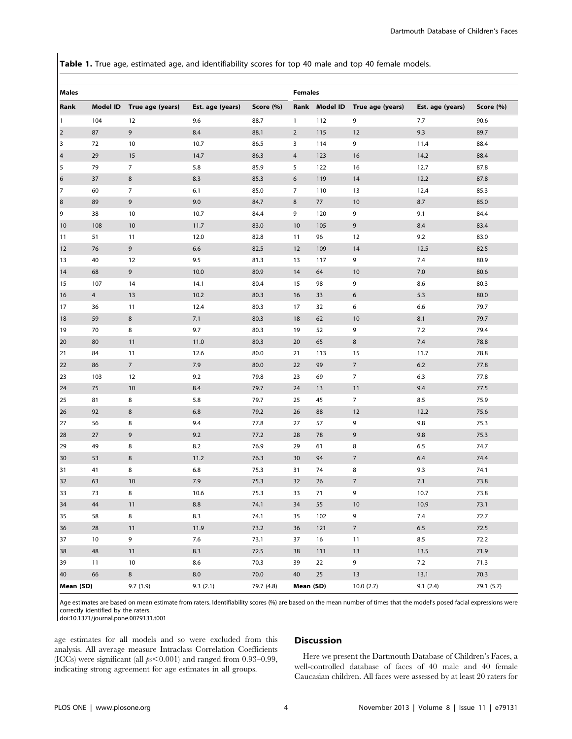Table 1. True age, estimated age, and identifiability scores for top 40 male and top 40 female models.

| <b>Males</b>            |                |                  |                  |            |                |               | <b>Females</b>   |                  |            |  |  |
|-------------------------|----------------|------------------|------------------|------------|----------------|---------------|------------------|------------------|------------|--|--|
| Rank                    | Model ID       | True age (years) | Est. age (years) | Score (%)  |                | Rank Model ID | True age (years) | Est. age (years) | Score (%)  |  |  |
| $\mathbf{1}$            | 104            | 12               | 9.6              | 88.7       | $\mathbf{1}$   | 112           | 9                | 7.7              | 90.6       |  |  |
| $\overline{2}$          | 87             | 9                | 8.4              | 88.1       | $\overline{2}$ | 115           | 12               | 9.3              | 89.7       |  |  |
| 3                       | 72             | 10               | 10.7             | 86.5       | 3              | 114           | 9                | 11.4             | 88.4       |  |  |
| $\overline{\mathbf{4}}$ | 29             | 15               | 14.7             | 86.3       | 4              | 123           | 16               | 14.2             | 88.4       |  |  |
| 5                       | 79             | $\overline{7}$   | 5.8              | 85.9       | 5              | 122           | 16               | 12.7             | 87.8       |  |  |
| 6                       | 37             | 8                | 8.3              | 85.3       | 6              | 119           | 14               | 12.2             | 87.8       |  |  |
| 7                       | 60             | $\overline{7}$   | 6.1              | 85.0       | $\overline{7}$ | 110           | 13               | 12.4             | 85.3       |  |  |
| 8                       | 89             | 9                | 9.0              | 84.7       | $\bf 8$        | 77            | 10               | 8.7              | 85.0       |  |  |
| 9                       | 38             | 10               | 10.7             | 84.4       | 9              | 120           | 9                | 9.1              | 84.4       |  |  |
| 10                      | 108            | $10$             | 11.7             | 83.0       | 10             | 105           | $\mathsf 9$      | 8.4              | 83.4       |  |  |
| 11                      | 51             | 11               | 12.0             | 82.8       | 11             | 96            | 12               | 9.2              | 83.0       |  |  |
| 12                      | 76             | $\overline{9}$   | $6.6\,$          | 82.5       | 12             | 109           | 14               | 12.5             | 82.5       |  |  |
| 13                      | 40             | 12               | 9.5              | 81.3       | 13             | 117           | 9                | 7.4              | 80.9       |  |  |
| 14                      | 68             | 9                | 10.0             | 80.9       | 14             | 64            | 10               | 7.0              | 80.6       |  |  |
| 15                      | 107            | 14               | 14.1             | 80.4       | 15             | 98            | 9                | 8.6              | 80.3       |  |  |
| 16                      | $\overline{4}$ | 13               | 10.2             | 80.3       | 16             | 33            | $\boldsymbol{6}$ | 5.3              | 80.0       |  |  |
| 17                      | 36             | 11               | 12.4             | 80.3       | 17             | 32            | 6                | 6.6              | 79.7       |  |  |
| 18                      | 59             | 8                | 7.1              | 80.3       | 18             | 62            | 10               | 8.1              | 79.7       |  |  |
| 19                      | 70             | 8                | 9.7              | 80.3       | 19             | 52            | 9                | 7.2              | 79.4       |  |  |
| 20                      | 80             | 11               | 11.0             | 80.3       | 20             | 65            | $\,8\,$          | 7.4              | 78.8       |  |  |
| 21                      | 84             | 11               | 12.6             | 80.0       | 21             | 113           | 15               | 11.7             | 78.8       |  |  |
| 22                      | 86             | $7\overline{ }$  | 7.9              | 80.0       | 22             | 99            | $\overline{7}$   | 6.2              | 77.8       |  |  |
| 23                      | 103            | 12               | 9.2              | 79.8       | 23             | 69            | $\overline{7}$   | 6.3              | 77.8       |  |  |
| 24                      | 75             | 10               | 8.4              | 79.7       | 24             | 13            | 11               | 9.4              | 77.5       |  |  |
| 25                      | 81             | 8                | 5.8              | 79.7       | 25             | 45            | $\overline{7}$   | 8.5              | 75.9       |  |  |
| 26                      | 92             | 8                | 6.8              | 79.2       | 26             | 88            | 12               | 12.2             | 75.6       |  |  |
| 27                      | 56             | 8                | 9.4              | 77.8       | 27             | 57            | 9                | 9.8              | 75.3       |  |  |
| 28                      | 27             | 9                | 9.2              | 77.2       | 28             | 78            | 9                | 9.8              | 75.3       |  |  |
| 29                      | 49             | 8                | 8.2              | 76.9       | 29             | 61            | 8                | 6.5              | 74.7       |  |  |
| 30                      | 53             | $\,8\,$          | 11.2             | 76.3       | 30             | 94            | $\sqrt{ }$       | 6.4              | 74.4       |  |  |
| 31                      | 41             | 8                | 6.8              | 75.3       | 31             | 74            | 8                | 9.3              | 74.1       |  |  |
| 32                      | 63             | 10               | 7.9              | 75.3       | 32             | 26            | $\sqrt{ }$       | 7.1              | 73.8       |  |  |
| 33                      | 73             | 8                | 10.6             | 75.3       | 33             | 71            | 9                | 10.7             | 73.8       |  |  |
| 34                      | 44             | 11               | 8.8              | 74.1       | 34             | 55            | 10               | 10.9             | 73.1       |  |  |
| 35                      | 58             | 8                | 8.3              | 74.1       | 35             | 102           | 9                | 7.4              | 72.7       |  |  |
| 36                      | 28             | 11               | 11.9             | 73.2       | 36             | 121           | $\overline{7}$   | 6.5              | 72.5       |  |  |
| 37                      | 10             | 9                | 7.6              | 73.1       | 37             | 16            | 11               | 8.5              | 72.2       |  |  |
| 38                      | 48             | 11               | 8.3              | 72.5       | 38             | 111           | 13               | 13.5             | 71.9       |  |  |
| 39                      | 11             | 10               | 8.6              | 70.3       | 39             | 22            | 9                | 7.2              | 71.3       |  |  |
| 40                      | 66             | 8                | 8.0              | 70.0       | 40             | 25            | 13               | 13.1             | 70.3       |  |  |
| Mean (SD)               |                | 9.7(1.9)         | 9.3(2.1)         | 79.7 (4.8) | Mean (SD)      |               | 10.0(2.7)        | 9.1(2.4)         | 79.1 (5.7) |  |  |

Age estimates are based on mean estimate from raters. Identifiability scores (%) are based on the mean number of times that the model's posed facial expressions were correctly identified by the raters.

doi:10.1371/journal.pone.0079131.t001

age estimates for all models and so were excluded from this analysis. All average measure Intraclass Correlation Coefficients (ICCs) were significant (all  $ps<0.001$ ) and ranged from 0.93–0.99, indicating strong agreement for age estimates in all groups.

# Discussion

Here we present the Dartmouth Database of Children's Faces, a well-controlled database of faces of 40 male and 40 female Caucasian children. All faces were assessed by at least 20 raters for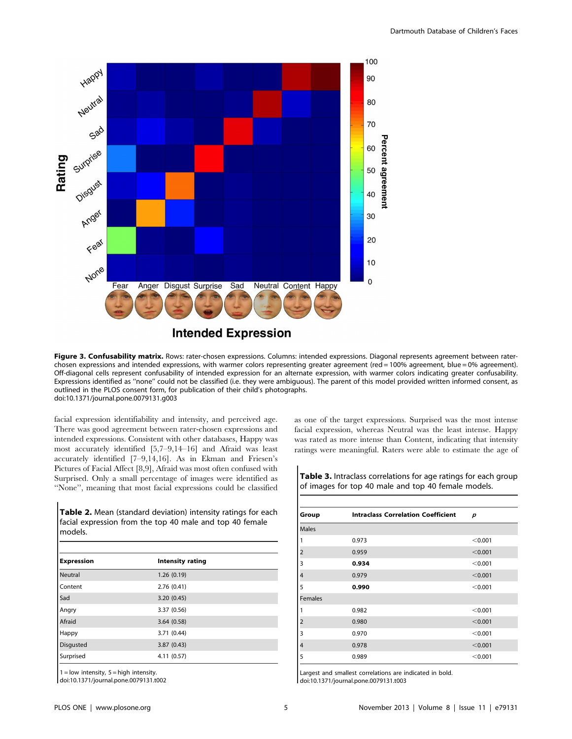

Figure 3. Confusability matrix. Rows: rater-chosen expressions. Columns: intended expressions. Diagonal represents agreement between raterchosen expressions and intended expressions, with warmer colors representing greater agreement (red = 100% agreement, blue = 0% agreement). Off-diagonal cells represent confusability of intended expression for an alternate expression, with warmer colors indicating greater confusability. Expressions identified as ''none'' could not be classified (i.e. they were ambiguous). The parent of this model provided written informed consent, as

outlined in the PLOS consent form, for publication of their child's photographs. doi:10.1371/journal.pone.0079131.g003

facial expression identifiability and intensity, and perceived age. There was good agreement between rater-chosen expressions and intended expressions. Consistent with other databases, Happy was most accurately identified [5,7–9,14–16] and Afraid was least accurately identified [7–9,14,16]. As in Ekman and Friesen's Pictures of Facial Affect [8,9], Afraid was most often confused with Surprised. Only a small percentage of images were identified as ''None'', meaning that most facial expressions could be classified

Table 2. Mean (standard deviation) intensity ratings for each facial expression from the top 40 male and top 40 female models.

| <b>Intensity rating</b> |
|-------------------------|
| 1.26(0.19)              |
| 2.76(0.41)              |
| 3.20(0.45)              |
| 3.37 (0.56)             |
| 3.64(0.58)              |
| 3.71 (0.44)             |
| 3.87(0.43)              |
| 4.11 (0.57)             |
|                         |

 $1 =$  low intensity,  $5 =$  high intensity.

doi:10.1371/journal.pone.0079131.t002

as one of the target expressions. Surprised was the most intense facial expression, whereas Neutral was the least intense. Happy was rated as more intense than Content, indicating that intensity ratings were meaningful. Raters were able to estimate the age of

| <b>Table 3.</b> Intraclass correlations for age ratings for each group |  |
|------------------------------------------------------------------------|--|
| of images for top 40 male and top 40 female models.                    |  |

| Group          | <b>Intraclass Correlation Coefficient</b> | p       |  |  |  |
|----------------|-------------------------------------------|---------|--|--|--|
| <b>Males</b>   |                                           |         |  |  |  |
| 1              | 0.973                                     | < 0.001 |  |  |  |
| $\overline{2}$ | 0.959                                     | < 0.001 |  |  |  |
| 3              | 0.934                                     | < 0.001 |  |  |  |
| 4              | 0.979                                     | < 0.001 |  |  |  |
| 5              | 0.990                                     | < 0.001 |  |  |  |
| <b>Females</b> |                                           |         |  |  |  |
| 1              | 0.982                                     | < 0.001 |  |  |  |
| $\overline{2}$ | 0.980                                     | < 0.001 |  |  |  |
| 3              | 0.970                                     | < 0.001 |  |  |  |
| 4              | 0.978                                     | < 0.001 |  |  |  |
| 5              | 0.989                                     | < 0.001 |  |  |  |

Largest and smallest correlations are indicated in bold. doi:10.1371/journal.pone.0079131.t003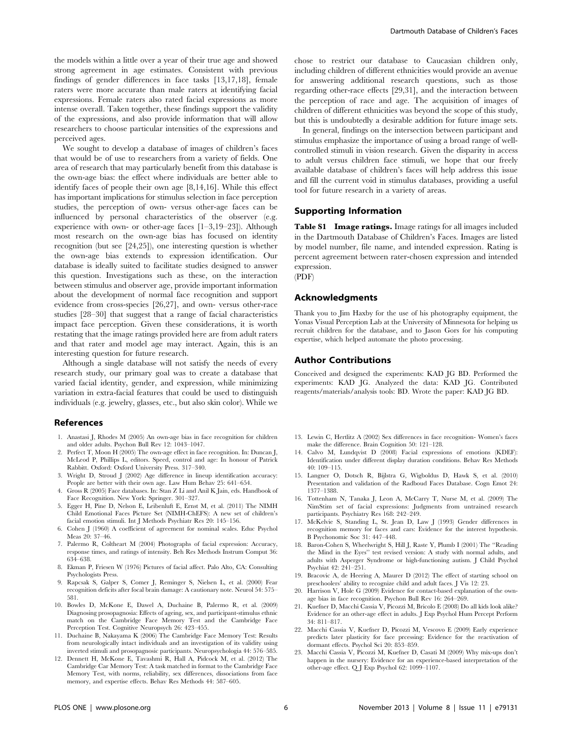the models within a little over a year of their true age and showed strong agreement in age estimates. Consistent with previous findings of gender differences in face tasks [13,17,18], female raters were more accurate than male raters at identifying facial expressions. Female raters also rated facial expressions as more intense overall. Taken together, these findings support the validity of the expressions, and also provide information that will allow researchers to choose particular intensities of the expressions and perceived ages.

We sought to develop a database of images of children's faces that would be of use to researchers from a variety of fields. One area of research that may particularly benefit from this database is the own-age bias: the effect where individuals are better able to identify faces of people their own age [8,14,16]. While this effect has important implications for stimulus selection in face perception studies, the perception of own- versus other-age faces can be influenced by personal characteristics of the observer (e.g. experience with own- or other-age faces [1–3,19–23]). Although most research on the own-age bias has focused on identity recognition (but see [24,25]), one interesting question is whether the own-age bias extends to expression identification. Our database is ideally suited to facilitate studies designed to answer this question. Investigations such as these, on the interaction between stimulus and observer age, provide important information about the development of normal face recognition and support evidence from cross-species [26,27], and own- versus other-race studies [28–30] that suggest that a range of facial characteristics impact face perception. Given these considerations, it is worth restating that the image ratings provided here are from adult raters and that rater and model age may interact. Again, this is an interesting question for future research.

Although a single database will not satisfy the needs of every research study, our primary goal was to create a database that varied facial identity, gender, and expression, while minimizing variation in extra-facial features that could be used to distinguish individuals (e.g. jewelry, glasses, etc., but also skin color). While we

#### References

- 1. Anastasi J, Rhodes M (2005) An own-age bias in face recognition for children and older adults. Psychon Bull Rev 12: 1043–1047.
- 2. Perfect T, Moon H (2005) The own-age effect in face recognition. In: Duncan J, McLeod P, Phillips L, editors. Speed, control and age: In honour of Patrick Rabbitt. Oxford: Oxford University Press. 317–340.
- 3. Wright D, Stroud J (2002) Age difference in lineup identification accuracy: People are better with their own age. Law Hum Behav 25: 641–654.
- 4. Gross R (2005) Face databases. In: Stan Z Li and Anil K Jain, eds. Handbook of Face Recognition. New York: Springer. 301–327.
- 5. Egger H, Pine D, Nelson E, Leibenluft E, Ernst M, et al. (2011) The NIMH Child Emotional Faces Picture Set (NIMH-ChEFS): A new set of children's facial emotion stimuli. Int J Methods Psychiatr Res 20: 145–156.
- 6. Cohen J (1960) A coefficient of agreement for nominal scales. Educ Psychol Meas 20: 37–46.
- 7. Palermo R, Coltheart M (2004) Photographs of facial expression: Accuracy, response times, and ratings of intensity. Beh Res Methods Instrum Comput 36: 634–638.
- 8. Ekman P, Friesen W (1976) Pictures of facial affect. Palo Alto, CA: Consulting Psychologists Press.
- 9. Rapcsak S, Galper S, Comer J, Reminger S, Nielsen L, et al. (2000) Fear recognition deficits after focal brain damage: A cautionary note. Neurol 54: 575– 581.
- 10. Bowles D, McKone E, Dawel A, Duchaine B, Palermo R, et al. (2009) Diagnosing prosopagnosia: Effects of ageing, sex, and participant-stimulus ethnic match on the Cambridge Face Memory Test and the Cambridge Face Perception Test. Cognitive Neuropsych 26: 423–455.
- 11. Duchaine B, Nakayama K (2006) The Cambridge Face Memory Test: Results from neurologically intact individuals and an investigation of its validity using inverted stimuli and prosopagnosic participants. Neuropsychologia 44: 576–585.
- 12. Dennett H, McKone E, Tavashmi R, Hall A, Pidcock M, et al. (2012) The Cambridge Car Memory Test: A task matched in format to the Cambridge Face Memory Test, with norms, reliability, sex differences, dissociations from face memory, and expertise effects. Behav Res Methods 44: 587–605.

chose to restrict our database to Caucasian children only, including children of different ethnicities would provide an avenue for answering additional research questions, such as those regarding other-race effects [29,31], and the interaction between the perception of race and age. The acquisition of images of children of different ethnicities was beyond the scope of this study, but this is undoubtedly a desirable addition for future image sets.

In general, findings on the intersection between participant and stimulus emphasize the importance of using a broad range of wellcontrolled stimuli in vision research. Given the disparity in access to adult versus children face stimuli, we hope that our freely available database of children's faces will help address this issue and fill the current void in stimulus databases, providing a useful tool for future research in a variety of areas.

#### Supporting Information

Table S1 Image ratings. Image ratings for all images included in the Dartmouth Database of Children's Faces. Images are listed by model number, file name, and intended expression. Rating is percent agreement between rater-chosen expression and intended expression.

(PDF)

#### Acknowledgments

Thank you to Jim Haxby for the use of his photography equipment, the Yonas Visual Perception Lab at the University of Minnesota for helping us recruit children for the database, and to Jason Gors for his computing expertise, which helped automate the photo processing.

#### Author Contributions

Conceived and designed the experiments: KAD JG BD. Performed the experiments: KAD JG. Analyzed the data: KAD JG. Contributed reagents/materials/analysis tools: BD. Wrote the paper: KAD JG BD.

- 13. Lewin C, Hertlitz A (2002) Sex differences in face recognition- Women's faces make the difference. Brain Cognition 50: 121–128.
- 14. Calvo M, Lundqvist D (2008) Facial expressions of emotions (KDEF): Identification under different display duration conditions. Behav Res Methods 40: 109–115.
- 15. Langner O, Dotsch R, Bijlstra G, Wigboldus D, Hawk S, et al. (2010) Presentation and validation of the Radboud Faces Database. Cogn Emot 24: 1377–1388.
- 16. Tottenham N, Tanaka J, Leon A, McCarry T, Nurse M, et al. (2009) The NimStim set of facial expressions: Judgments from untrained research participants. Psychiatry Res 168: 242–249.
- 17. McKelvie S, Standing L, St. Jean D, Law J (1993) Gender differences in recognition memory for faces and cars: Evidence for the interest hypothesis. B Psychonomic Soc 31: 447–448.
- 18. Baron-Cohen S, Wheelwright S, Hill J, Raste Y, Plumb I (2001) The ''Reading the Mind in the Eyes'' test revised version: A study with normal adults, and adults with Asperger Syndrome or high-functioning autism. J Child Psychol Psychiat 42: 241–251.
- 19. Bracovic A, de Heering A, Maurer D (2012) The effect of starting school on preschoolers' ability to recognize child and adult faces. J Vis 12: 23.
- 20. Harrison V, Hole G (2009) Evidence for contact-based explanation of the ownage bias in face recognition. Psychon Bull Rev 16: 264–269.
- 21. Kuefner D, Macchi Cassia V, Picozzi M, Bricolo E (2008) Do all kids look alike? Evidence for an other-age effect in adults. J Exp Psychol Hum Percept Perform 34: 811–817.
- 22. Macchi Cassia V, Kuefner D, Picozzi M, Vescovo E (2009) Early experience predicts later plasticity for face prcessing: Evidence for the reactivation of dormant effects. Psychol Sci 20: 853–859.
- 23. Macchi Cassia V, Picozzi M, Kuefner D, Casati M (2009) Why mix-ups don't happen in the nursery: Evidence for an experience-based interpretation of the other-age effect. Q J Exp Psychol 62: 1099–1107.